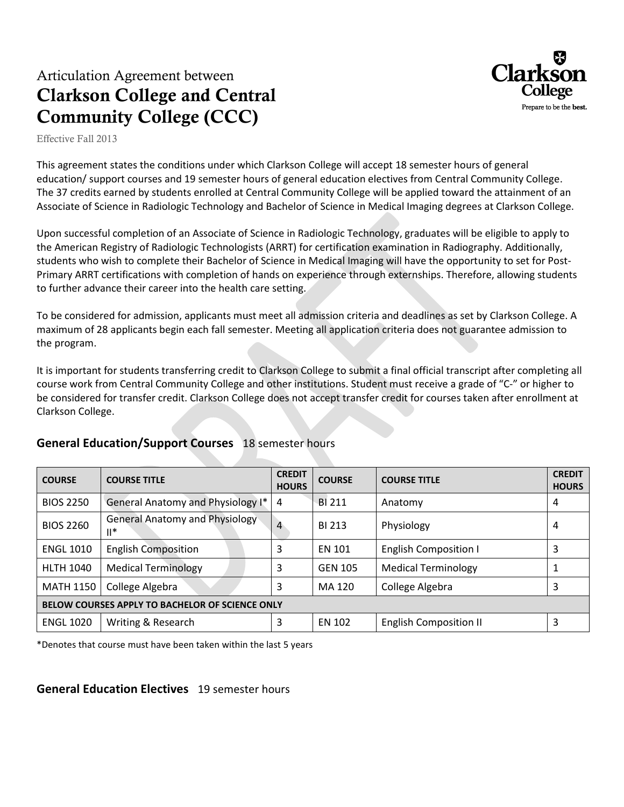## Articulation Agreement between **Clarkson College and Central Community College (CCC)**



Effective Fall 2013

This agreement states the conditions under which Clarkson College will accept 18 semester hours of general education/ support courses and 19 semester hours of general education electives from Central Community College. The 37 credits earned by students enrolled at Central Community College will be applied toward the attainment of an Associate of Science in Radiologic Technology and Bachelor of Science in Medical Imaging degrees at Clarkson College.

Upon successful completion of an Associate of Science in Radiologic Technology, graduates will be eligible to apply to the American Registry of Radiologic Technologists (ARRT) for certification examination in Radiography. Additionally, students who wish to complete their Bachelor of Science in Medical Imaging will have the opportunity to set for Post-Primary ARRT certifications with completion of hands on experience through externships. Therefore, allowing students to further advance their career into the health care setting.

To be considered for admission, applicants must meet all admission criteria and deadlines as set by Clarkson College. A maximum of 28 applicants begin each fall semester. Meeting all application criteria does not guarantee admission to the program.

It is important for students transferring credit to Clarkson College to submit a final official transcript after completing all course work from Central Community College and other institutions. Student must receive a grade of "C-" or higher to be considered for transfer credit. Clarkson College does not accept transfer credit for courses taken after enrollment at Clarkson College.

| <b>COURSE</b>                                   | <b>COURSE TITLE</b>                             | <b>CREDIT</b><br><b>HOURS</b> | <b>COURSE</b>  | <b>COURSE TITLE</b>           | <b>CREDIT</b><br><b>HOURS</b> |
|-------------------------------------------------|-------------------------------------------------|-------------------------------|----------------|-------------------------------|-------------------------------|
| <b>BIOS 2250</b>                                | General Anatomy and Physiology I*               | 4                             | <b>BI211</b>   | Anatomy                       | 4                             |
| <b>BIOS 2260</b>                                | <b>General Anatomy and Physiology</b><br>$II^*$ | $\overline{4}$                | BI 213         | Physiology                    | 4                             |
| <b>ENGL 1010</b>                                | <b>English Composition</b>                      | 3                             | <b>EN 101</b>  | <b>English Composition I</b>  | 3                             |
| <b>HLTH 1040</b>                                | <b>Medical Terminology</b>                      | 3                             | <b>GEN 105</b> | <b>Medical Terminology</b>    |                               |
| <b>MATH 1150</b>                                | College Algebra                                 | 3                             | MA 120         | College Algebra               | 3                             |
| BELOW COURSES APPLY TO BACHELOR OF SCIENCE ONLY |                                                 |                               |                |                               |                               |
| <b>ENGL 1020</b>                                | Writing & Research                              | 3                             | EN 102         | <b>English Composition II</b> | 3                             |

### **General Education/Support Courses** 18 semester hours

\*Denotes that course must have been taken within the last 5 years

**General Education Electives** 19 semester hours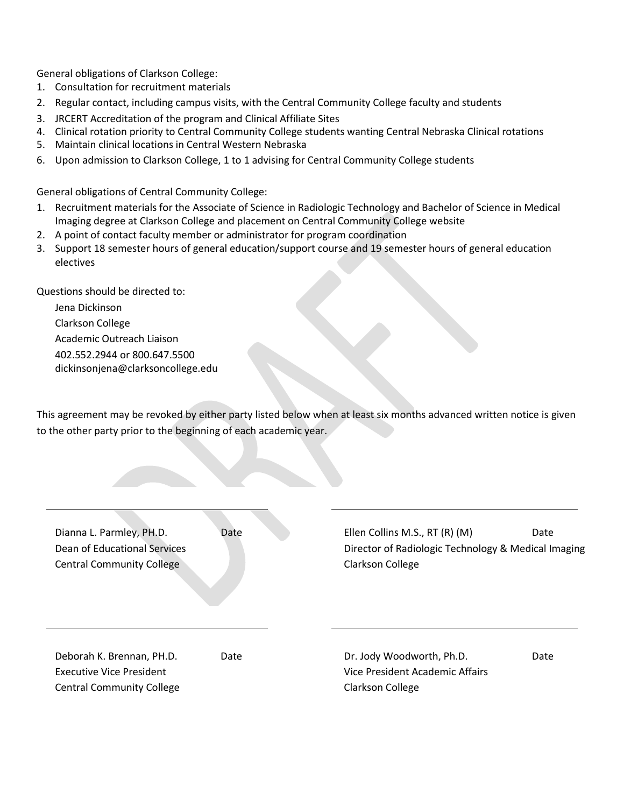General obligations of Clarkson College:

- 1. Consultation for recruitment materials
- 2. Regular contact, including campus visits, with the Central Community College faculty and students
- 3. JRCERT Accreditation of the program and Clinical Affiliate Sites
- 4. Clinical rotation priority to Central Community College students wanting Central Nebraska Clinical rotations
- 5. Maintain clinical locations in Central Western Nebraska
- 6. Upon admission to Clarkson College, 1 to 1 advising for Central Community College students

General obligations of Central Community College:

- 1. Recruitment materials for the Associate of Science in Radiologic Technology and Bachelor of Science in Medical Imaging degree at Clarkson College and placement on Central Community College website
- 2. A point of contact faculty member or administrator for program coordination
- 3. Support 18 semester hours of general education/support course and 19 semester hours of general education electives

Questions should be directed to:

Jena Dickinson Clarkson College Academic Outreach Liaison 402.552.2944 or 800.647.5500 dickinsonjena@clarksoncollege.edu

This agreement may be revoked by either party listed below when at least six months advanced written notice is given to the other party prior to the beginning of each academic year.

| Dianna L. Parmley, PH.D.<br>Dean of Educational Services<br><b>Central Community College</b> | Date | Ellen Collins M.S., RT (R) (M)<br>Director of Radiologic Technology & Medical Imaging<br><b>Clarkson College</b> | Date |
|----------------------------------------------------------------------------------------------|------|------------------------------------------------------------------------------------------------------------------|------|
|                                                                                              |      |                                                                                                                  |      |
| Deborah K. Brennan, PH.D.<br><b>Executive Vice President</b>                                 | Date | Dr. Jody Woodworth, Ph.D.<br>Vice President Academic Affairs                                                     | Date |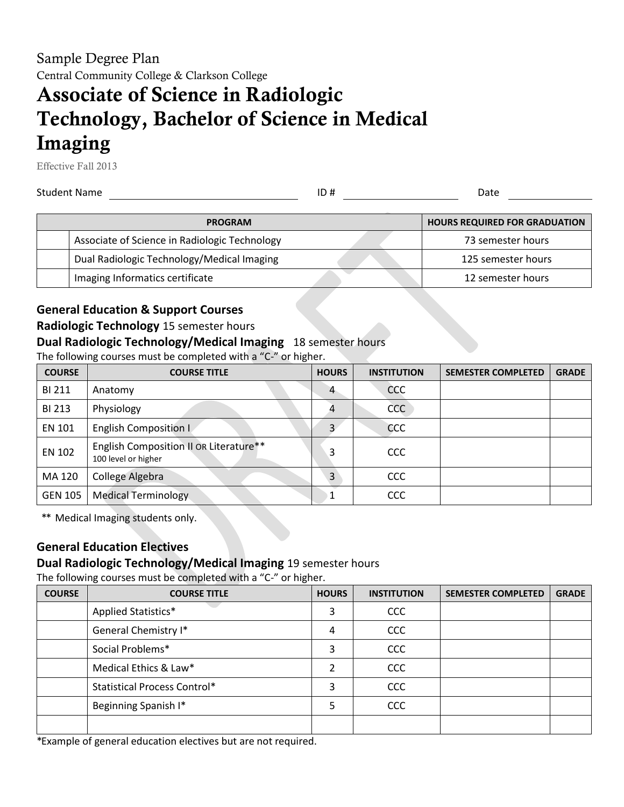Sample Degree Plan Central Community College & Clarkson College

# **Associate of Science in Radiologic Technology, Bachelor of Science in Medical Imaging**

Effective Fall 2013

Student Name ID # Date

| <b>PROGRAM</b>                                | <b>HOURS REQUIRED FOR GRADUATION</b> |
|-----------------------------------------------|--------------------------------------|
| Associate of Science in Radiologic Technology | 73 semester hours                    |
| Dual Radiologic Technology/Medical Imaging    | 125 semester hours                   |
| Imaging Informatics certificate               | 12 semester hours                    |

### **General Education & Support Courses**

#### **Radiologic Technology** 15 semester hours

#### **Dual Radiologic Technology/Medical Imaging** 18 semester hours

The following courses must be completed with a "C-" or higher.

| <b>COURSE</b>  | <b>COURSE TITLE</b>                                           | <b>HOURS</b> | <b>INSTITUTION</b> | <b>SEMESTER COMPLETED</b> | <b>GRADE</b> |
|----------------|---------------------------------------------------------------|--------------|--------------------|---------------------------|--------------|
| <b>BI 211</b>  | Anatomy                                                       | 4            | CCC                |                           |              |
| <b>BI 213</b>  | Physiology                                                    |              | CCC                |                           |              |
| EN 101         | <b>English Composition I</b>                                  |              | CCC                |                           |              |
| EN 102         | English Composition II OR Literature**<br>100 level or higher | 3            | CCC                |                           |              |
| MA 120         | College Algebra                                               | 3            | CCC                |                           |              |
| <b>GEN 105</b> | <b>Medical Terminology</b>                                    |              | CCC                |                           |              |

\*\* Medical Imaging students only.

### **General Education Electives**

#### **Dual Radiologic Technology/Medical Imaging** 19 semester hours

The following courses must be completed with a "C-" or higher.

| <b>COURSE</b> | <b>COURSE TITLE</b>                 | <b>HOURS</b> | <b>INSTITUTION</b> | <b>SEMESTER COMPLETED</b> | <b>GRADE</b> |
|---------------|-------------------------------------|--------------|--------------------|---------------------------|--------------|
|               | Applied Statistics*                 | 3            | <b>CCC</b>         |                           |              |
|               | General Chemistry I*                | 4            | <b>CCC</b>         |                           |              |
|               | Social Problems*                    | 3            | <b>CCC</b>         |                           |              |
|               | Medical Ethics & Law*               |              | <b>CCC</b>         |                           |              |
|               | <b>Statistical Process Control*</b> | 3            | <b>CCC</b>         |                           |              |
|               | Beginning Spanish I*                | 5            | <b>CCC</b>         |                           |              |
|               |                                     |              |                    |                           |              |

\*Example of general education electives but are not required.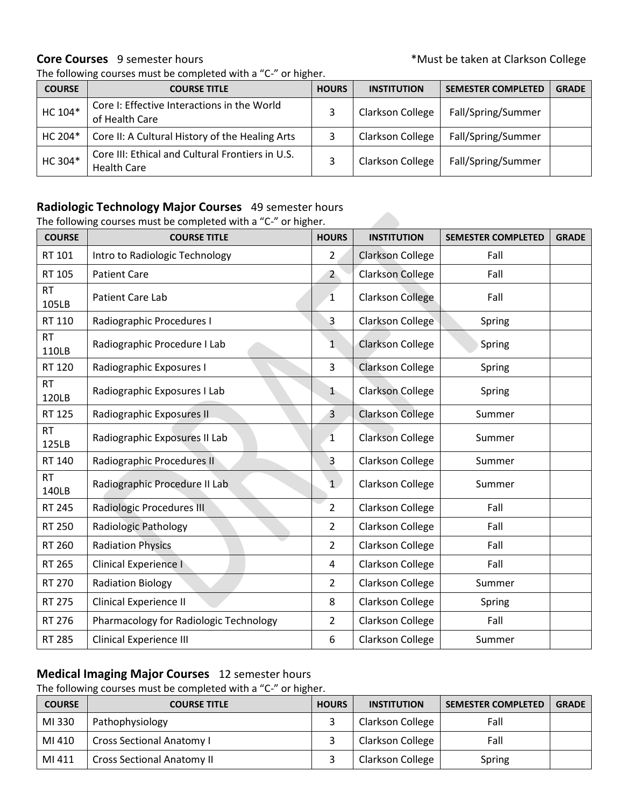#### **Core Courses** 9 semester hours **COLLECT 10** and the set of the set of the set of the set of the set of the set of the set of the set of the set of the set of the set of the set of the set of the set of the set of the set

| <b>COURSE</b> | <b>COURSE TITLE</b>                                                    | <b>HOURS</b> | <b>INSTITUTION</b> | <b>SEMESTER COMPLETED</b> | <b>GRADE</b> |
|---------------|------------------------------------------------------------------------|--------------|--------------------|---------------------------|--------------|
| HC 104*       | Core I: Effective Interactions in the World<br>of Health Care          |              | Clarkson College   | Fall/Spring/Summer        |              |
| HC 204*       | Core II: A Cultural History of the Healing Arts                        |              | Clarkson College   | Fall/Spring/Summer        |              |
| HC 304*       | Core III: Ethical and Cultural Frontiers in U.S.<br><b>Health Care</b> |              | Clarkson College   | Fall/Spring/Summer        |              |

#### **Radiologic Technology Major Courses** 49 semester hours

The following courses must be completed with a "C-" or higher.

The following courses must be completed with a "C-" or higher.

| <b>COURSE</b>      | <b>COURSE TITLE</b>                    | <b>HOURS</b>   | <b>INSTITUTION</b>      | <b>SEMESTER COMPLETED</b> | <b>GRADE</b> |
|--------------------|----------------------------------------|----------------|-------------------------|---------------------------|--------------|
| RT 101             | Intro to Radiologic Technology         | $\overline{2}$ | <b>Clarkson College</b> | Fall                      |              |
| RT 105             | <b>Patient Care</b>                    | 2 <sup>2</sup> | <b>Clarkson College</b> | Fall                      |              |
| <b>RT</b><br>105LB | Patient Care Lab                       | $\mathbf{1}$   | <b>Clarkson College</b> | Fall                      |              |
| RT 110             | Radiographic Procedures I              | $\overline{3}$ | Clarkson College        | Spring                    |              |
| <b>RT</b><br>110LB | Radiographic Procedure I Lab           | $\mathbf{1}$   | <b>Clarkson College</b> | Spring                    |              |
| RT 120             | Radiographic Exposures I               | $\overline{3}$ | <b>Clarkson College</b> | Spring                    |              |
| <b>RT</b><br>120LB | Radiographic Exposures I Lab           | 1              | <b>Clarkson College</b> | Spring                    |              |
| RT 125             | Radiographic Exposures II              | $\overline{3}$ | Clarkson College        | Summer                    |              |
| <b>RT</b><br>125LB | Radiographic Exposures II Lab          | $\mathbf{1}$   | <b>Clarkson College</b> | Summer                    |              |
| RT 140             | Radiographic Procedures II             | 3              | Clarkson College        | Summer                    |              |
| <b>RT</b><br>140LB | Radiographic Procedure II Lab          | 1              | Clarkson College        | Summer                    |              |
| RT 245             | <b>Radiologic Procedures III</b>       | $\overline{2}$ | Clarkson College        | Fall                      |              |
| RT 250             | <b>Radiologic Pathology</b>            | $\overline{2}$ | Clarkson College        | Fall                      |              |
| RT 260             | <b>Radiation Physics</b>               | $\overline{2}$ | Clarkson College        | Fall                      |              |
| RT 265             | Clinical Experience I                  | $\overline{4}$ | Clarkson College        | Fall                      |              |
| RT 270             | <b>Radiation Biology</b>               | 2              | <b>Clarkson College</b> | Summer                    |              |
| RT 275             | Clinical Experience II                 | 8              | Clarkson College        | Spring                    |              |
| RT 276             | Pharmacology for Radiologic Technology | $\overline{2}$ | Clarkson College        | Fall                      |              |
| RT 285             | <b>Clinical Experience III</b>         | 6              | Clarkson College        | Summer                    |              |

### **Medical Imaging Major Courses** 12 semester hours

The following courses must be completed with a "C-" or higher.

| <b>COURSE</b> | <b>COURSE TITLE</b>               | <b>HOURS</b> | <b>INSTITUTION</b>      | <b>SEMESTER COMPLETED</b> | <b>GRADE</b> |
|---------------|-----------------------------------|--------------|-------------------------|---------------------------|--------------|
| MI 330        | Pathophysiology                   |              | Clarkson College        | Fall                      |              |
| MI 410        | <b>Cross Sectional Anatomy I</b>  |              | Clarkson College        | Fall                      |              |
| MI 411        | <b>Cross Sectional Anatomy II</b> |              | <b>Clarkson College</b> | Spring                    |              |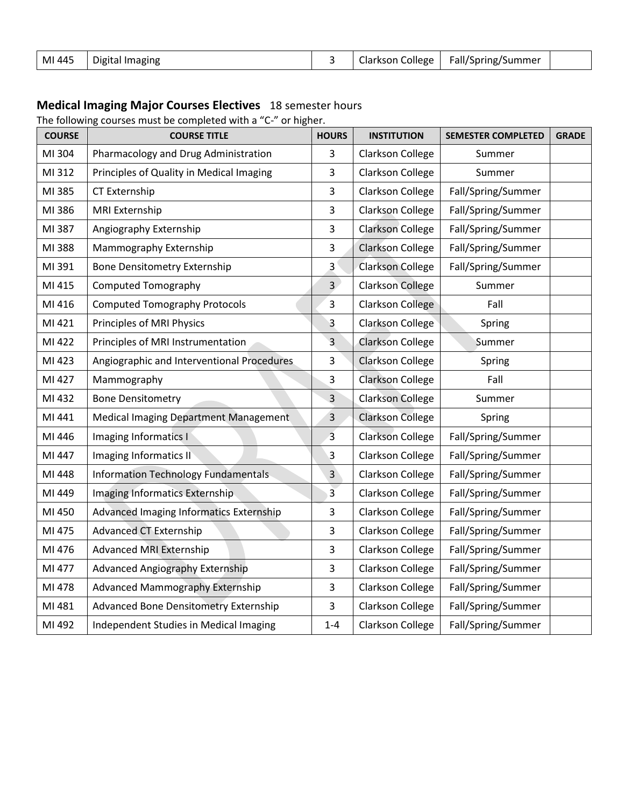| MI 445 | Digital Imaging |  |  | Clarkson College   Fall/Spring/Summer |  |
|--------|-----------------|--|--|---------------------------------------|--|
|--------|-----------------|--|--|---------------------------------------|--|

#### **Medical Imaging Major Courses Electives** 18 semester hours

The following courses must be completed with a "C-" or higher.

| <b>COURSE</b> | <b>COURSE TITLE</b>                          | <b>HOURS</b>   | <b>INSTITUTION</b>      | <b>SEMESTER COMPLETED</b> | <b>GRADE</b> |
|---------------|----------------------------------------------|----------------|-------------------------|---------------------------|--------------|
| MI 304        | Pharmacology and Drug Administration         | 3              | <b>Clarkson College</b> | Summer                    |              |
| MI 312        | Principles of Quality in Medical Imaging     | $\overline{3}$ | Clarkson College        | Summer                    |              |
| MI 385        | <b>CT Externship</b>                         | 3              | Clarkson College        | Fall/Spring/Summer        |              |
| MI 386        | MRI Externship                               | 3              | Clarkson College        | Fall/Spring/Summer        |              |
| MI 387        | Angiography Externship                       | 3              | <b>Clarkson College</b> | Fall/Spring/Summer        |              |
| MI 388        | Mammography Externship                       | 3              | <b>Clarkson College</b> | Fall/Spring/Summer        |              |
| MI 391        | <b>Bone Densitometry Externship</b>          | $\overline{3}$ | Clarkson College        | Fall/Spring/Summer        |              |
| MI 415        | <b>Computed Tomography</b>                   | 3 <sub>1</sub> | <b>Clarkson College</b> | Summer                    |              |
| MI 416        | <b>Computed Tomography Protocols</b>         | 3              | Clarkson College        | Fall                      |              |
| MI 421        | Principles of MRI Physics                    | 3              | <b>Clarkson College</b> | Spring                    |              |
| MI 422        | Principles of MRI Instrumentation            | 3              | <b>Clarkson College</b> | Summer                    |              |
| MI 423        | Angiographic and Interventional Procedures   | 3              | <b>Clarkson College</b> | Spring                    |              |
| MI 427        | Mammography                                  | 3              | Clarkson College        | Fall                      |              |
| MI 432        | <b>Bone Densitometry</b>                     | 3              | <b>Clarkson College</b> | Summer                    |              |
| MI 441        | Medical Imaging Department Management        | 3              | <b>Clarkson College</b> | Spring                    |              |
| MI 446        | Imaging Informatics I                        | $\overline{3}$ | <b>Clarkson College</b> | Fall/Spring/Summer        |              |
| MI 447        | Imaging Informatics II                       | 3              | Clarkson College        | Fall/Spring/Summer        |              |
| MI 448        | <b>Information Technology Fundamentals</b>   | $\overline{3}$ | <b>Clarkson College</b> | Fall/Spring/Summer        |              |
| MI 449        | <b>Imaging Informatics Externship</b>        | $\overline{3}$ | Clarkson College        | Fall/Spring/Summer        |              |
| MI 450        | Advanced Imaging Informatics Externship      | 3              | Clarkson College        | Fall/Spring/Summer        |              |
| MI 475        | <b>Advanced CT Externship</b>                | 3              | Clarkson College        | Fall/Spring/Summer        |              |
| MI 476        | <b>Advanced MRI Externship</b>               | 3              | Clarkson College        | Fall/Spring/Summer        |              |
| MI 477        | <b>Advanced Angiography Externship</b>       | 3              | Clarkson College        | Fall/Spring/Summer        |              |
| MI 478        | <b>Advanced Mammography Externship</b>       | 3              | Clarkson College        | Fall/Spring/Summer        |              |
| MI 481        | <b>Advanced Bone Densitometry Externship</b> | 3              | Clarkson College        | Fall/Spring/Summer        |              |
| MI 492        | Independent Studies in Medical Imaging       | $1 - 4$        | Clarkson College        | Fall/Spring/Summer        |              |